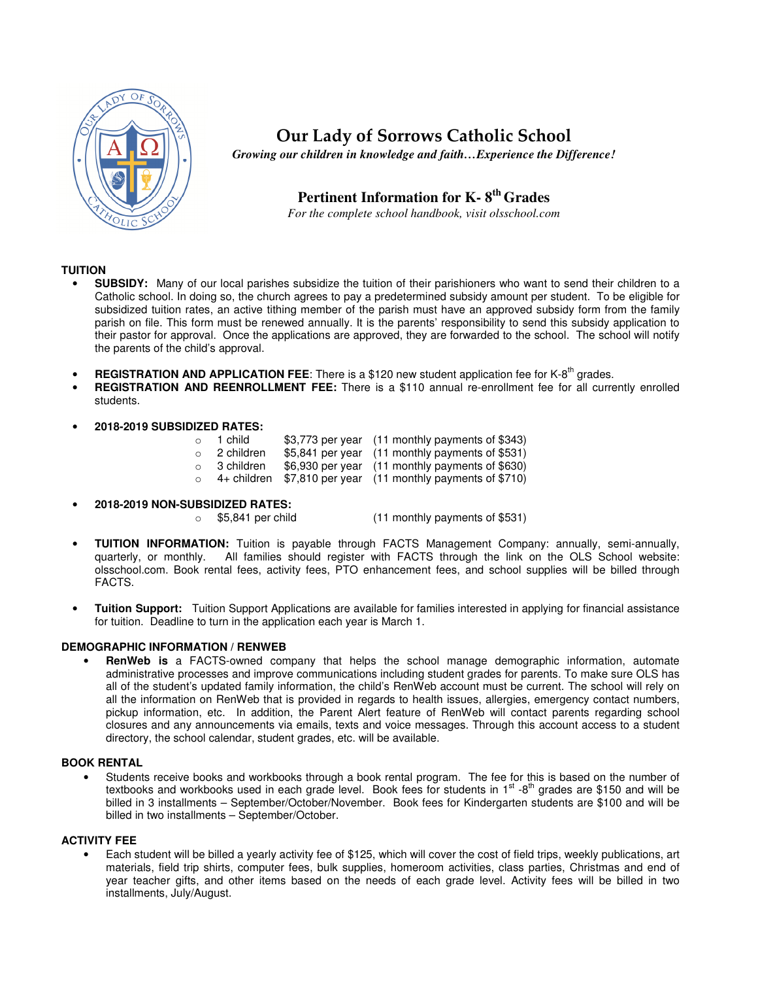

**Our Lady of Sorrows Catholic School**

*Growing our children in knowledge and faith…Experience the Difference!* 

# **Pertinent Information for K- 8th Grades**

*For the complete school handbook, visit olsschool.com* 

## **TUITION**

- **SUBSIDY:** Many of our local parishes subsidize the tuition of their parishioners who want to send their children to a Catholic school. In doing so, the church agrees to pay a predetermined subsidy amount per student. To be eligible for subsidized tuition rates, an active tithing member of the parish must have an approved subsidy form from the family parish on file. This form must be renewed annually. It is the parents' responsibility to send this subsidy application to their pastor for approval. Once the applications are approved, they are forwarded to the school. The school will notify the parents of the child's approval.
- **REGISTRATION AND APPLICATION FEE:** There is a \$120 new student application fee for K-8<sup>th</sup> grades.
- **REGISTRATION AND REENROLLMENT FEE:** There is a \$110 annual re-enrollment fee for all currently enrolled students.
- **2018-2019 SUBSIDIZED RATES:**

| $\circ$ | 1 child            | \$3,773 per year (11 monthly payments of \$343)                |
|---------|--------------------|----------------------------------------------------------------|
| $\circ$ | 2 children         | \$5,841 per year (11 monthly payments of \$531)                |
|         | $\circ$ 3 children | \$6,930 per year (11 monthly payments of \$630)                |
| $\circ$ |                    | $4+$ children $$7,810$ per year (11 monthly payments of \$710) |

- **2018-2019 NON-SUBSIDIZED RATES:** 
	- $(11$  monthly payments of \$531)
- **TUITION INFORMATION:** Tuition is payable through FACTS Management Company: annually, semi-annually, All families should register with FACTS through the link on the OLS School website: olsschool.com. Book rental fees, activity fees, PTO enhancement fees, and school supplies will be billed through FACTS.
- **Tuition Support:** Tuition Support Applications are available for families interested in applying for financial assistance for tuition. Deadline to turn in the application each year is March 1.

## **DEMOGRAPHIC INFORMATION / RENWEB**

• **RenWeb is** a FACTS-owned company that helps the school manage demographic information, automate administrative processes and improve communications including student grades for parents. To make sure OLS has all of the student's updated family information, the child's RenWeb account must be current. The school will rely on all the information on RenWeb that is provided in regards to health issues, allergies, emergency contact numbers, pickup information, etc. In addition, the Parent Alert feature of RenWeb will contact parents regarding school closures and any announcements via emails, texts and voice messages. Through this account access to a student directory, the school calendar, student grades, etc. will be available.

## **BOOK RENTAL**

• Students receive books and workbooks through a book rental program. The fee for this is based on the number of textbooks and workbooks used in each grade level. Book fees for students in 1<sup>st</sup> -8<sup>th</sup> grades are \$150 and will be billed in 3 installments – September/October/November. Book fees for Kindergarten students are \$100 and will be billed in two installments – September/October.

#### **ACTIVITY FEE**

• Each student will be billed a yearly activity fee of \$125, which will cover the cost of field trips, weekly publications, art materials, field trip shirts, computer fees, bulk supplies, homeroom activities, class parties, Christmas and end of year teacher gifts, and other items based on the needs of each grade level. Activity fees will be billed in two installments, July/August.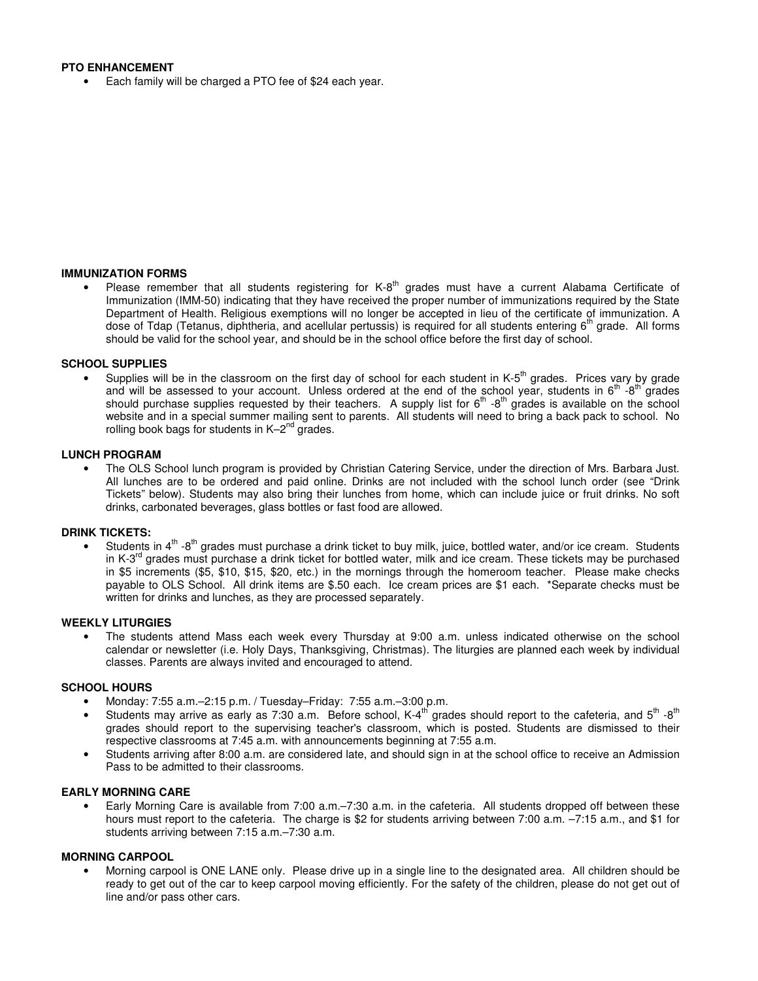## **PTO ENHANCEMENT**

• Each family will be charged a PTO fee of \$24 each year.

#### **IMMUNIZATION FORMS**

• Please remember that all students registering for K-8<sup>th</sup> grades must have a current Alabama Certificate of Immunization (IMM-50) indicating that they have received the proper number of immunizations required by the State Department of Health. Religious exemptions will no longer be accepted in lieu of the certificate of immunization. A dose of Tdap (Tetanus, diphtheria, and acellular pertussis) is required for all students entering 6<sup>th</sup> grade. All forms should be valid for the school year, and should be in the school office before the first day of school.

#### **SCHOOL SUPPLIES**

Supplies will be in the classroom on the first day of school for each student in K- $5<sup>th</sup>$  grades. Prices vary by grade and will be assessed to your account. Unless ordered at the end of the school year, students in  $6^{th}$  -8<sup>th</sup> grades should purchase supplies requested by their teachers. A supply list for  $6<sup>th</sup>$  -8<sup>th</sup> grades is available on the school website and in a special summer mailing sent to parents. All students will need to bring a back pack to school. No rolling book bags for students in  $K-2^{nd}$  grades.

#### **LUNCH PROGRAM**

• The OLS School lunch program is provided by Christian Catering Service, under the direction of Mrs. Barbara Just. All lunches are to be ordered and paid online. Drinks are not included with the school lunch order (see "Drink Tickets" below). Students may also bring their lunches from home, which can include juice or fruit drinks. No soft drinks, carbonated beverages, glass bottles or fast food are allowed.

#### **DRINK TICKETS:**

Students in 4<sup>th</sup> -8<sup>th</sup> grades must purchase a drink ticket to buy milk, juice, bottled water, and/or ice cream. Students in K-3<sup>rd</sup> grades must purchase a drink ticket for bottled water, milk and ice cream. These tickets may be purchased in \$5 increments (\$5, \$10, \$15, \$20, etc.) in the mornings through the homeroom teacher. Please make checks payable to OLS School. All drink items are \$.50 each. Ice cream prices are \$1 each. \*Separate checks must be written for drinks and lunches, as they are processed separately.

#### **WEEKLY LITURGIES**

• The students attend Mass each week every Thursday at 9:00 a.m. unless indicated otherwise on the school calendar or newsletter (i.e. Holy Days, Thanksgiving, Christmas). The liturgies are planned each week by individual classes. Parents are always invited and encouraged to attend.

#### **SCHOOL HOURS**

- Monday: 7:55 a.m.–2:15 p.m. / Tuesday–Friday: 7:55 a.m.–3:00 p.m.
- Students may arrive as early as 7:30 a.m. Before school,  $K-4^{th}$  grades should report to the cafeteria, and  $5^{th}$  -8<sup>th</sup> grades should report to the supervising teacher's classroom, which is posted. Students are dismissed to their respective classrooms at 7:45 a.m. with announcements beginning at 7:55 a.m.
- Students arriving after 8:00 a.m. are considered late, and should sign in at the school office to receive an Admission Pass to be admitted to their classrooms.

## **EARLY MORNING CARE**

• Early Morning Care is available from 7:00 a.m.–7:30 a.m. in the cafeteria. All students dropped off between these hours must report to the cafeteria. The charge is \$2 for students arriving between 7:00 a.m. –7:15 a.m., and \$1 for students arriving between 7:15 a.m.–7:30 a.m.

## **MORNING CARPOOL**

• Morning carpool is ONE LANE only. Please drive up in a single line to the designated area. All children should be ready to get out of the car to keep carpool moving efficiently. For the safety of the children, please do not get out of line and/or pass other cars.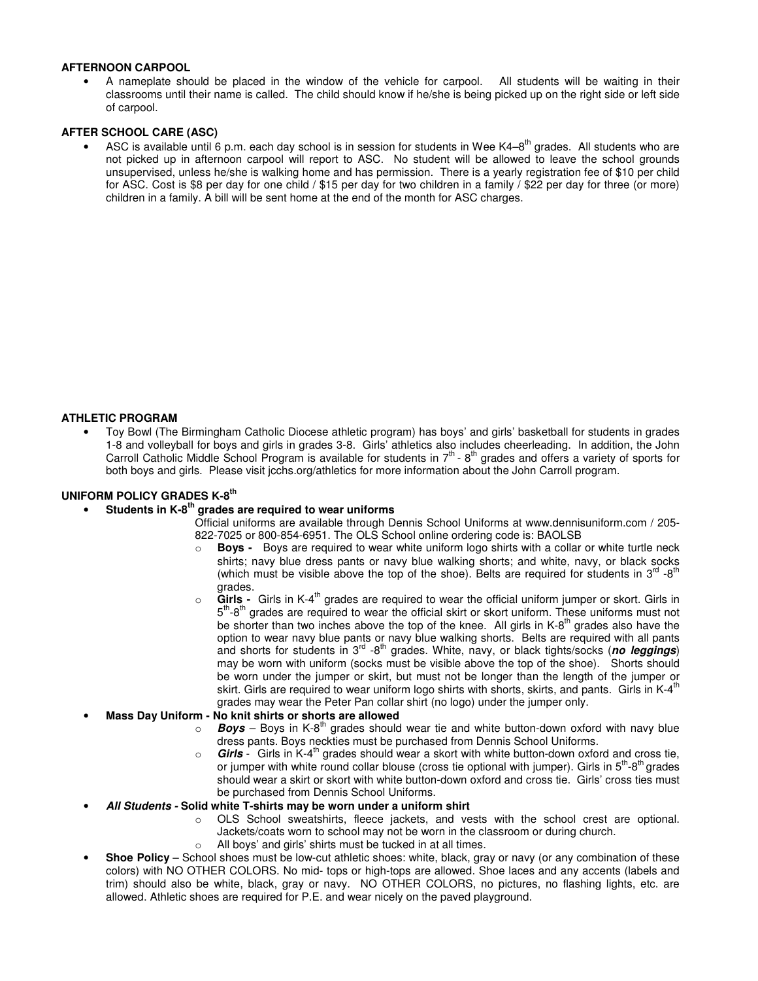### **AFTERNOON CARPOOL**

• A nameplate should be placed in the window of the vehicle for carpool. All students will be waiting in their classrooms until their name is called. The child should know if he/she is being picked up on the right side or left side of carpool.

## **AFTER SCHOOL CARE (ASC)**

ASC is available until 6 p.m. each day school is in session for students in Wee K4–8<sup>th</sup> grades. All students who are not picked up in afternoon carpool will report to ASC. No student will be allowed to leave the school grounds unsupervised, unless he/she is walking home and has permission. There is a yearly registration fee of \$10 per child for ASC. Cost is \$8 per day for one child / \$15 per day for two children in a family / \$22 per day for three (or more) children in a family. A bill will be sent home at the end of the month for ASC charges.

## **ATHLETIC PROGRAM**

• Toy Bowl (The Birmingham Catholic Diocese athletic program) has boys' and girls' basketball for students in grades 1-8 and volleyball for boys and girls in grades 3-8. Girls' athletics also includes cheerleading. In addition, the John Carroll Catholic Middle School Program is available for students in 7th - 8th grades and offers a variety of sports for both boys and girls. Please visit jcchs.org/athletics for more information about the John Carroll program.

## **UNIFORM POLICY GRADES K-8th**

- **Students in K-8th grades are required to wear uniforms**
	- Official uniforms are available through Dennis School Uniforms at www.dennisuniform.com / 205- 822-7025 or 800-854-6951. The OLS School online ordering code is: BAOLSB
		- o **Boys** Boys are required to wear white uniform logo shirts with a collar or white turtle neck shirts; navy blue dress pants or navy blue walking shorts; and white, navy, or black socks (which must be visible above the top of the shoe). Belts are required for students in  $3^{rd}$  -8<sup>th</sup> grades.
		- o **Girls** Girls in K-4th grades are required to wear the official uniform jumper or skort. Girls in 5<sup>th</sup>-8<sup>th</sup> grades are required to wear the official skirt or skort uniform. These uniforms must not be shorter than two inches above the top of the knee. All girls in K-8<sup>th</sup> grades also have the option to wear navy blue pants or navy blue walking shorts. Belts are required with all pants and shorts for students in 3rd -8th grades. White, navy, or black tights/socks (**no leggings**) may be worn with uniform (socks must be visible above the top of the shoe). Shorts should be worn under the jumper or skirt, but must not be longer than the length of the jumper or skirt. Girls are required to wear uniform logo shirts with shorts, skirts, and pants. Girls in K-4<sup>th</sup> grades may wear the Peter Pan collar shirt (no logo) under the jumper only.

## • **Mass Day Uniform - No knit shirts or shorts are allowed**

- $\circ$  **Boys** Boys in K-8<sup>th</sup> grades should wear tie and white button-down oxford with navy blue dress pants. Boys neckties must be purchased from Dennis School Uniforms.
- o **Girls** Girls in K-4th grades should wear a skort with white button-down oxford and cross tie, or jumper with white round collar blouse (cross tie optional with jumper). Girls in  $5<sup>th</sup>$ -8<sup>th</sup> grades should wear a skirt or skort with white button-down oxford and cross tie. Girls' cross ties must be purchased from Dennis School Uniforms.

#### • **All Students - Solid white T-shirts may be worn under a uniform shirt**

- o OLS School sweatshirts, fleece jackets, and vests with the school crest are optional. Jackets/coats worn to school may not be worn in the classroom or during church.
- o All boys' and girls' shirts must be tucked in at all times.
- **Shoe Policy** School shoes must be low-cut athletic shoes: white, black, gray or navy (or any combination of these colors) with NO OTHER COLORS. No mid- tops or high-tops are allowed. Shoe laces and any accents (labels and trim) should also be white, black, gray or navy. NO OTHER COLORS, no pictures, no flashing lights, etc. are allowed. Athletic shoes are required for P.E. and wear nicely on the paved playground.